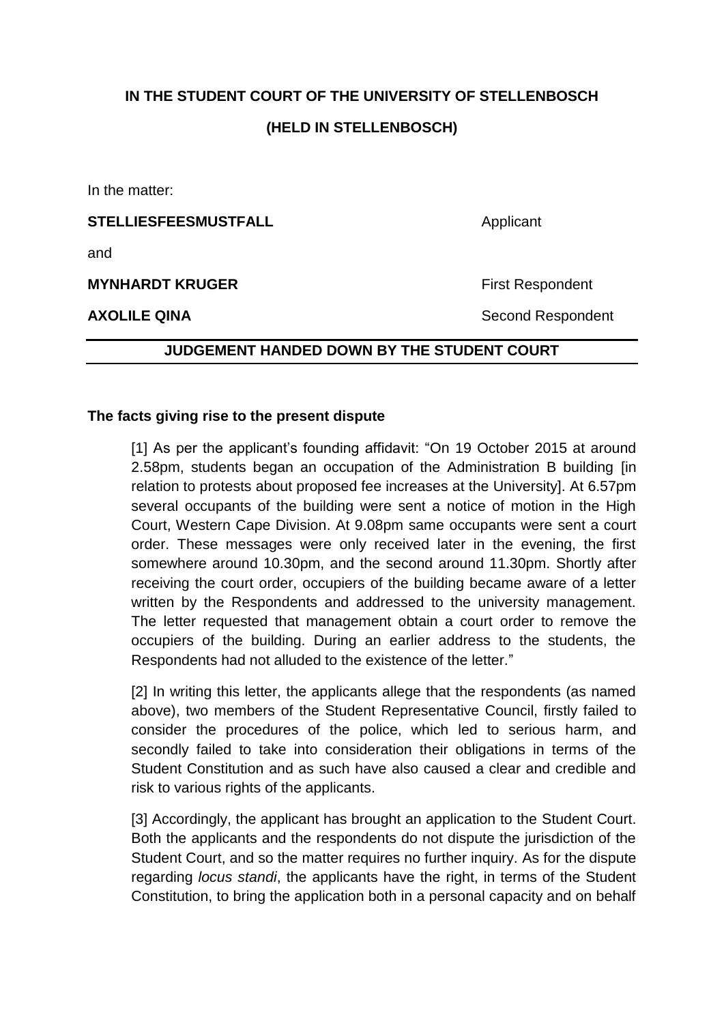# **IN THE STUDENT COURT OF THE UNIVERSITY OF STELLENBOSCH**

## **(HELD IN STELLENBOSCH)**

In the matter:

**STELLIESFEESMUSTFALL** Applicant

and

**MYNHARDT KRUGER** First Respondent

**AXOLILE QINA** Second Respondent

#### **JUDGEMENT HANDED DOWN BY THE STUDENT COURT**

## **The facts giving rise to the present dispute**

[1] As per the applicant's founding affidavit: "On 19 October 2015 at around 2.58pm, students began an occupation of the Administration B building [in relation to protests about proposed fee increases at the University]. At 6.57pm several occupants of the building were sent a notice of motion in the High Court, Western Cape Division. At 9.08pm same occupants were sent a court order. These messages were only received later in the evening, the first somewhere around 10.30pm, and the second around 11.30pm. Shortly after receiving the court order, occupiers of the building became aware of a letter written by the Respondents and addressed to the university management. The letter requested that management obtain a court order to remove the occupiers of the building. During an earlier address to the students, the Respondents had not alluded to the existence of the letter."

[2] In writing this letter, the applicants allege that the respondents (as named above), two members of the Student Representative Council, firstly failed to consider the procedures of the police, which led to serious harm, and secondly failed to take into consideration their obligations in terms of the Student Constitution and as such have also caused a clear and credible and risk to various rights of the applicants.

[3] Accordingly, the applicant has brought an application to the Student Court. Both the applicants and the respondents do not dispute the jurisdiction of the Student Court, and so the matter requires no further inquiry. As for the dispute regarding *locus standi*, the applicants have the right, in terms of the Student Constitution, to bring the application both in a personal capacity and on behalf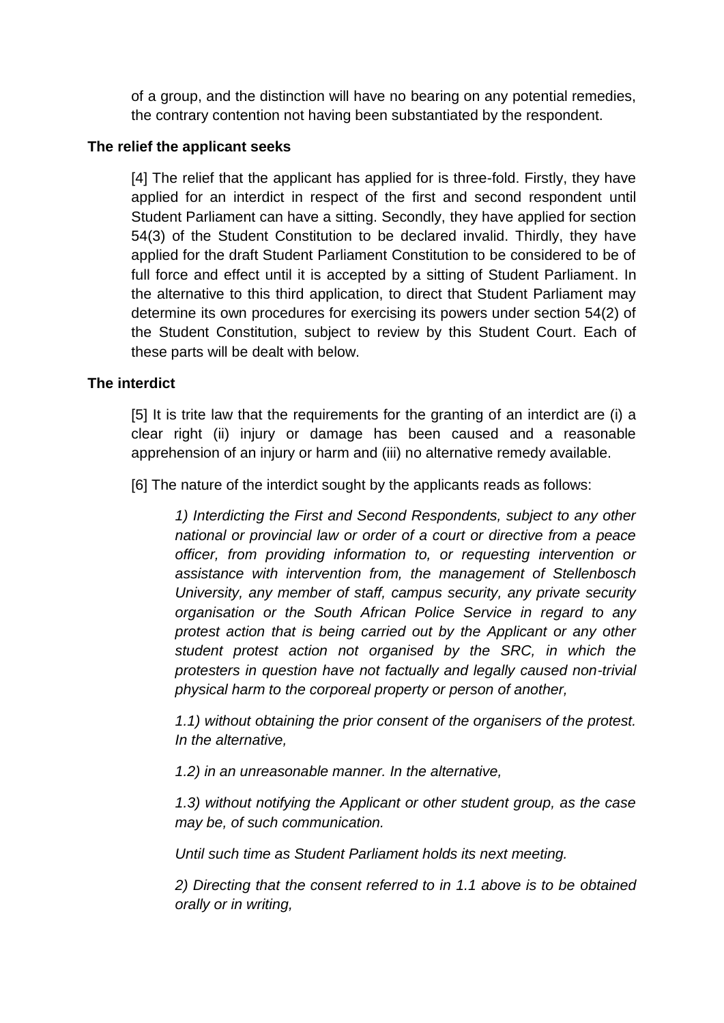of a group, and the distinction will have no bearing on any potential remedies, the contrary contention not having been substantiated by the respondent.

#### **The relief the applicant seeks**

[4] The relief that the applicant has applied for is three-fold. Firstly, they have applied for an interdict in respect of the first and second respondent until Student Parliament can have a sitting. Secondly, they have applied for section 54(3) of the Student Constitution to be declared invalid. Thirdly, they have applied for the draft Student Parliament Constitution to be considered to be of full force and effect until it is accepted by a sitting of Student Parliament. In the alternative to this third application, to direct that Student Parliament may determine its own procedures for exercising its powers under section 54(2) of the Student Constitution, subject to review by this Student Court. Each of these parts will be dealt with below.

#### **The interdict**

[5] It is trite law that the requirements for the granting of an interdict are (i) a clear right (ii) injury or damage has been caused and a reasonable apprehension of an injury or harm and (iii) no alternative remedy available.

[6] The nature of the interdict sought by the applicants reads as follows:

*1) Interdicting the First and Second Respondents, subject to any other national or provincial law or order of a court or directive from a peace officer, from providing information to, or requesting intervention or assistance with intervention from, the management of Stellenbosch University, any member of staff, campus security, any private security organisation or the South African Police Service in regard to any protest action that is being carried out by the Applicant or any other student protest action not organised by the SRC, in which the protesters in question have not factually and legally caused non-trivial physical harm to the corporeal property or person of another,*

*1.1) without obtaining the prior consent of the organisers of the protest. In the alternative,*

*1.2) in an unreasonable manner. In the alternative,*

*1.3) without notifying the Applicant or other student group, as the case may be, of such communication.*

*Until such time as Student Parliament holds its next meeting.*

*2) Directing that the consent referred to in 1.1 above is to be obtained orally or in writing,*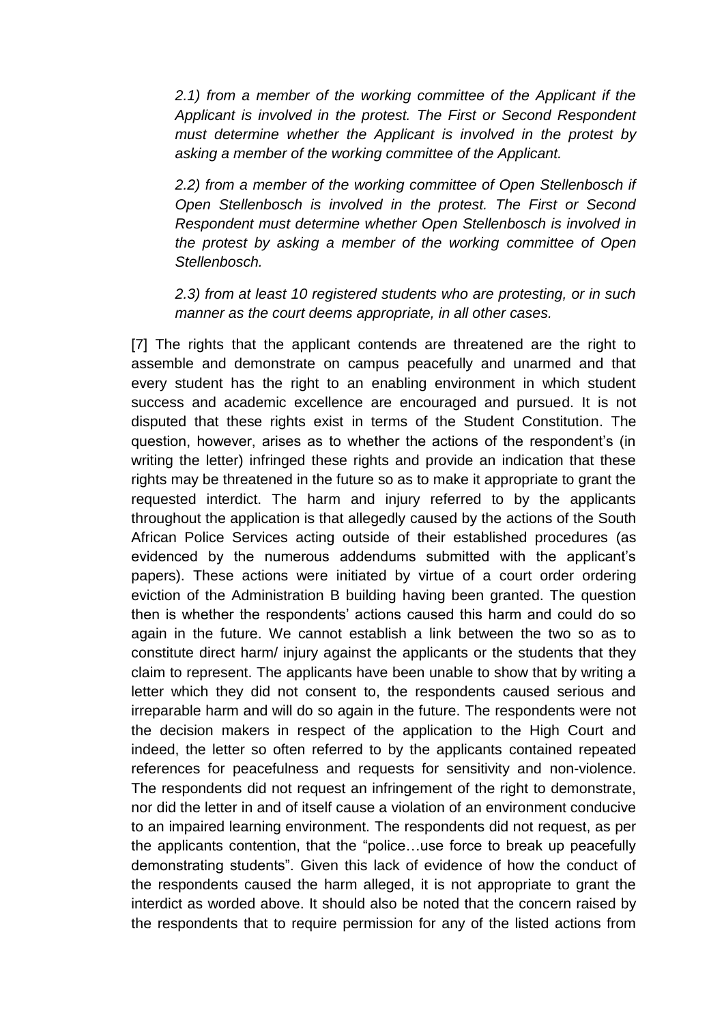*2.1) from a member of the working committee of the Applicant if the Applicant is involved in the protest. The First or Second Respondent must determine whether the Applicant is involved in the protest by asking a member of the working committee of the Applicant.*

*2.2) from a member of the working committee of Open Stellenbosch if Open Stellenbosch is involved in the protest. The First or Second Respondent must determine whether Open Stellenbosch is involved in the protest by asking a member of the working committee of Open Stellenbosch.*

*2.3) from at least 10 registered students who are protesting, or in such manner as the court deems appropriate, in all other cases.*

[7] The rights that the applicant contends are threatened are the right to assemble and demonstrate on campus peacefully and unarmed and that every student has the right to an enabling environment in which student success and academic excellence are encouraged and pursued. It is not disputed that these rights exist in terms of the Student Constitution. The question, however, arises as to whether the actions of the respondent's (in writing the letter) infringed these rights and provide an indication that these rights may be threatened in the future so as to make it appropriate to grant the requested interdict. The harm and injury referred to by the applicants throughout the application is that allegedly caused by the actions of the South African Police Services acting outside of their established procedures (as evidenced by the numerous addendums submitted with the applicant's papers). These actions were initiated by virtue of a court order ordering eviction of the Administration B building having been granted. The question then is whether the respondents' actions caused this harm and could do so again in the future. We cannot establish a link between the two so as to constitute direct harm/ injury against the applicants or the students that they claim to represent. The applicants have been unable to show that by writing a letter which they did not consent to, the respondents caused serious and irreparable harm and will do so again in the future. The respondents were not the decision makers in respect of the application to the High Court and indeed, the letter so often referred to by the applicants contained repeated references for peacefulness and requests for sensitivity and non-violence. The respondents did not request an infringement of the right to demonstrate, nor did the letter in and of itself cause a violation of an environment conducive to an impaired learning environment. The respondents did not request, as per the applicants contention, that the "police…use force to break up peacefully demonstrating students". Given this lack of evidence of how the conduct of the respondents caused the harm alleged, it is not appropriate to grant the interdict as worded above. It should also be noted that the concern raised by the respondents that to require permission for any of the listed actions from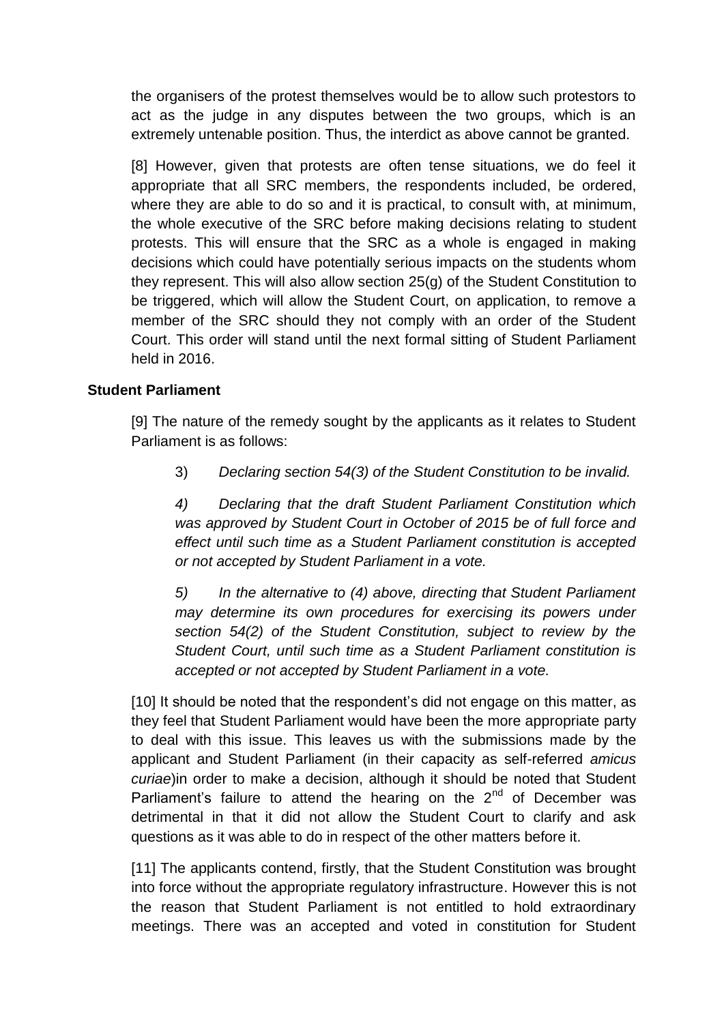the organisers of the protest themselves would be to allow such protestors to act as the judge in any disputes between the two groups, which is an extremely untenable position. Thus, the interdict as above cannot be granted.

[8] However, given that protests are often tense situations, we do feel it appropriate that all SRC members, the respondents included, be ordered, where they are able to do so and it is practical, to consult with, at minimum, the whole executive of the SRC before making decisions relating to student protests. This will ensure that the SRC as a whole is engaged in making decisions which could have potentially serious impacts on the students whom they represent. This will also allow section 25(g) of the Student Constitution to be triggered, which will allow the Student Court, on application, to remove a member of the SRC should they not comply with an order of the Student Court. This order will stand until the next formal sitting of Student Parliament held in 2016.

## **Student Parliament**

[9] The nature of the remedy sought by the applicants as it relates to Student Parliament is as follows:

3) *Declaring section 54(3) of the Student Constitution to be invalid.*

*4) Declaring that the draft Student Parliament Constitution which was approved by Student Court in October of 2015 be of full force and effect until such time as a Student Parliament constitution is accepted or not accepted by Student Parliament in a vote.*

*5) In the alternative to (4) above, directing that Student Parliament may determine its own procedures for exercising its powers under section 54(2) of the Student Constitution, subject to review by the Student Court, until such time as a Student Parliament constitution is accepted or not accepted by Student Parliament in a vote.*

[10] It should be noted that the respondent's did not engage on this matter, as they feel that Student Parliament would have been the more appropriate party to deal with this issue. This leaves us with the submissions made by the applicant and Student Parliament (in their capacity as self-referred *amicus curiae*)in order to make a decision, although it should be noted that Student Parliament's failure to attend the hearing on the  $2<sup>nd</sup>$  of December was detrimental in that it did not allow the Student Court to clarify and ask questions as it was able to do in respect of the other matters before it.

[11] The applicants contend, firstly, that the Student Constitution was brought into force without the appropriate regulatory infrastructure. However this is not the reason that Student Parliament is not entitled to hold extraordinary meetings. There was an accepted and voted in constitution for Student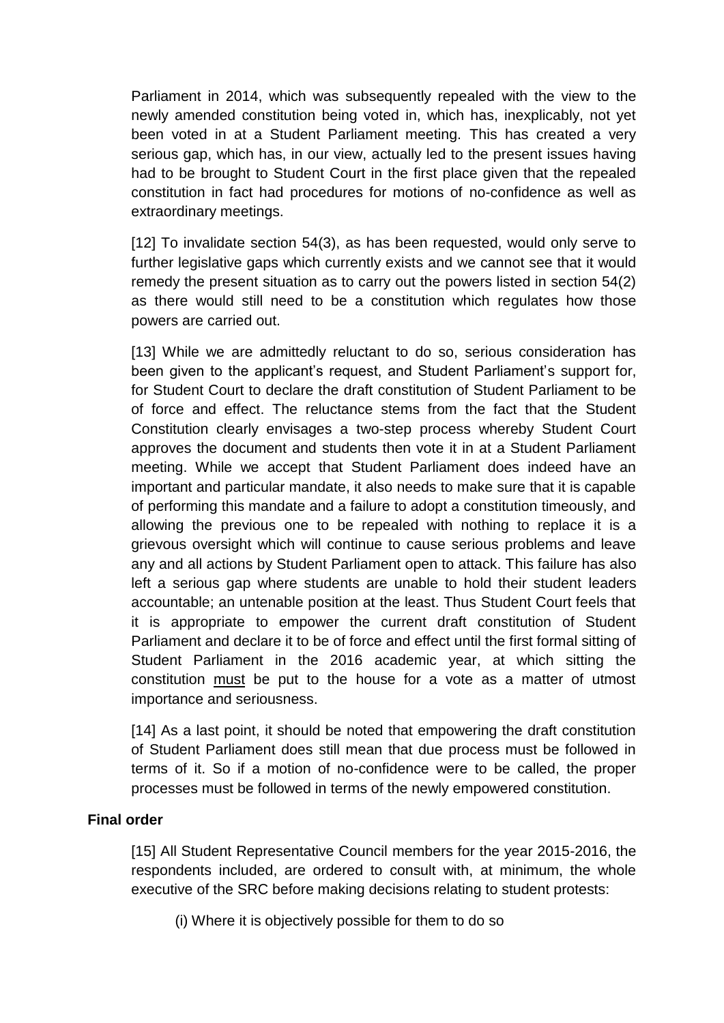Parliament in 2014, which was subsequently repealed with the view to the newly amended constitution being voted in, which has, inexplicably, not yet been voted in at a Student Parliament meeting. This has created a very serious gap, which has, in our view, actually led to the present issues having had to be brought to Student Court in the first place given that the repealed constitution in fact had procedures for motions of no-confidence as well as extraordinary meetings.

[12] To invalidate section 54(3), as has been requested, would only serve to further legislative gaps which currently exists and we cannot see that it would remedy the present situation as to carry out the powers listed in section 54(2) as there would still need to be a constitution which regulates how those powers are carried out.

[13] While we are admittedly reluctant to do so, serious consideration has been given to the applicant's request, and Student Parliament's support for, for Student Court to declare the draft constitution of Student Parliament to be of force and effect. The reluctance stems from the fact that the Student Constitution clearly envisages a two-step process whereby Student Court approves the document and students then vote it in at a Student Parliament meeting. While we accept that Student Parliament does indeed have an important and particular mandate, it also needs to make sure that it is capable of performing this mandate and a failure to adopt a constitution timeously, and allowing the previous one to be repealed with nothing to replace it is a grievous oversight which will continue to cause serious problems and leave any and all actions by Student Parliament open to attack. This failure has also left a serious gap where students are unable to hold their student leaders accountable; an untenable position at the least. Thus Student Court feels that it is appropriate to empower the current draft constitution of Student Parliament and declare it to be of force and effect until the first formal sitting of Student Parliament in the 2016 academic year, at which sitting the constitution must be put to the house for a vote as a matter of utmost importance and seriousness.

[14] As a last point, it should be noted that empowering the draft constitution of Student Parliament does still mean that due process must be followed in terms of it. So if a motion of no-confidence were to be called, the proper processes must be followed in terms of the newly empowered constitution.

#### **Final order**

[15] All Student Representative Council members for the year 2015-2016, the respondents included, are ordered to consult with, at minimum, the whole executive of the SRC before making decisions relating to student protests:

(i) Where it is objectively possible for them to do so